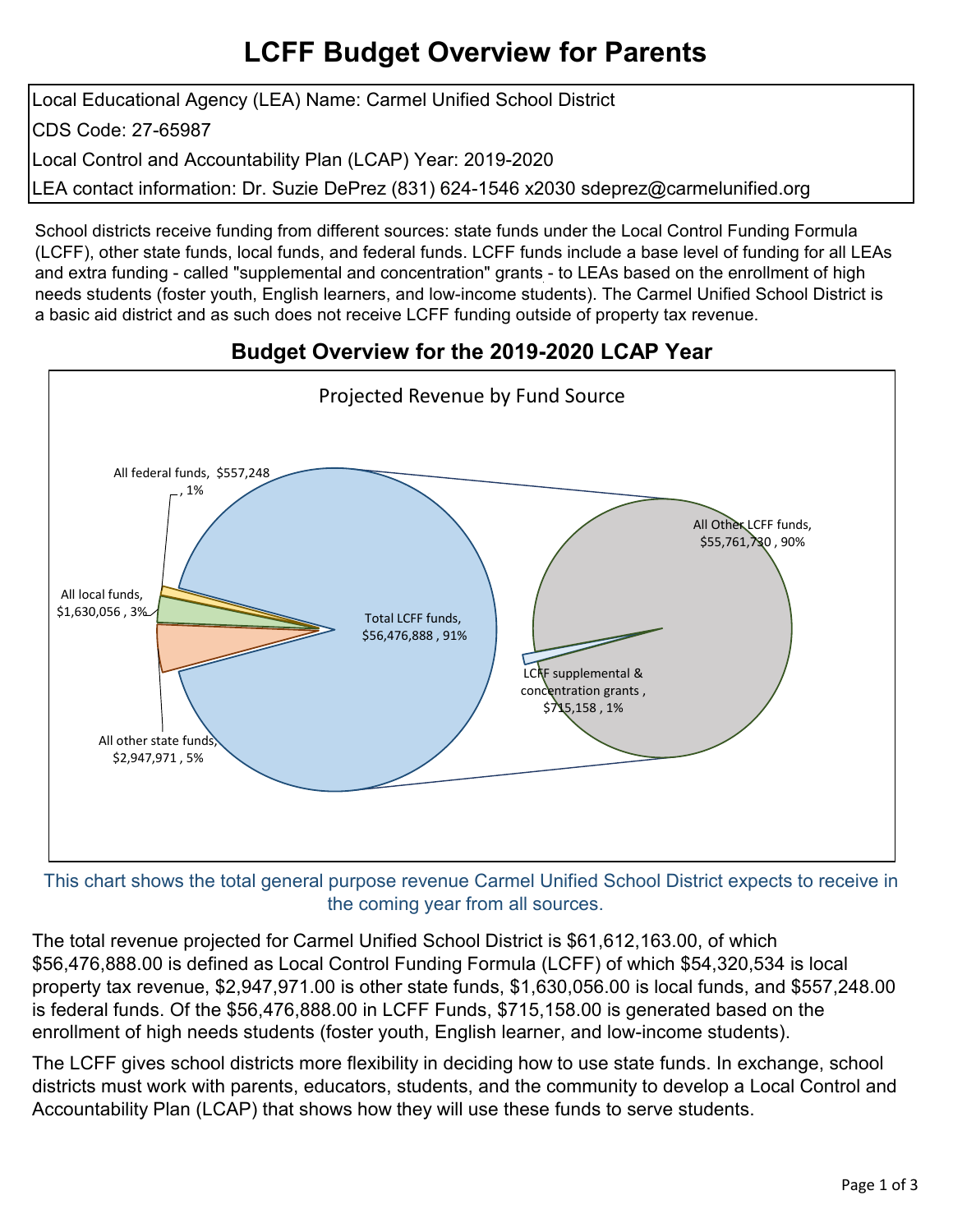# **LCFF Budget Overview for Parents**

Local Educational Agency (LEA) Name: Carmel Unified School District CDS Code: 27-65987 Local Control and Accountability Plan (LCAP) Year: 2019-2020 LEA contact information: Dr. Suzie DePrez (831) 624-1546 x2030 sdeprez@carmelunified.org

School districts receive funding from different sources: state funds under the Local Control Funding Formula (LCFF), other state funds, local funds, and federal funds. LCFF funds include a base level of funding for all LEAs and extra funding - called "supplemental and concentration" grants - to LEAs based on the enrollment of high needs students (foster youth, English learners, and low-income students). The Carmel Unified School District is a basic aid district and as such does not receive LCFF funding outside of property tax revenue.

### **Budget Overview for the 2019-2020 LCAP Year**



This chart shows the total general purpose revenue Carmel Unified School District expects to receive in the coming year from all sources.

The total revenue projected for Carmel Unified School District is \$61,612,163.00, of which \$56,476,888.00 is defined as Local Control Funding Formula (LCFF) of which \$54,320,534 is local property tax revenue, \$2,947,971.00 is other state funds, \$1,630,056.00 is local funds, and \$557,248.00 is federal funds. Of the \$56,476,888.00 in LCFF Funds, \$715,158.00 is generated based on the enrollment of high needs students (foster youth, English learner, and low-income students).

The LCFF gives school districts more flexibility in deciding how to use state funds. In exchange, school districts must work with parents, educators, students, and the community to develop a Local Control and Accountability Plan (LCAP) that shows how they will use these funds to serve students.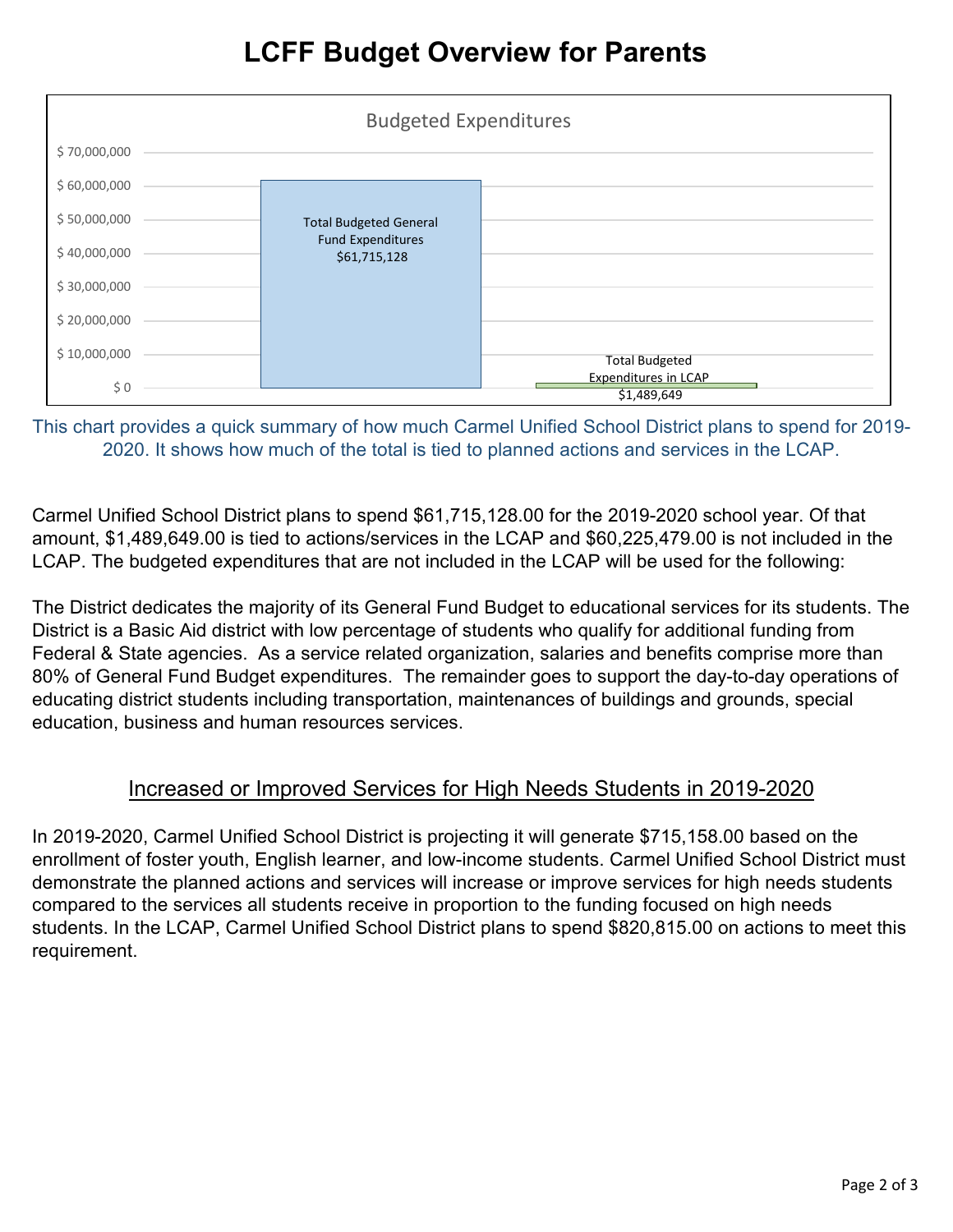| <b>Budgeted Expenditures</b> |                                          |                                     |
|------------------------------|------------------------------------------|-------------------------------------|
| \$70,000,000                 |                                          |                                     |
| \$60,000,000                 |                                          |                                     |
| \$50,000,000                 | <b>Total Budgeted General</b>            |                                     |
| \$40,000,000                 | <b>Fund Expenditures</b><br>\$61,715,128 |                                     |
| \$30,000,000                 |                                          |                                     |
| \$20,000,000                 |                                          |                                     |
| \$10,000,000                 |                                          | <b>Total Budgeted</b>               |
| \$0                          |                                          | Expenditures in LCAP<br>\$1,489,649 |

This chart provides a quick summary of how much Carmel Unified School District plans to spend for 2019- 2020. It shows how much of the total is tied to planned actions and services in the LCAP.

Carmel Unified School District plans to spend \$61,715,128.00 for the 2019-2020 school year. Of that amount, \$1,489,649.00 is tied to actions/services in the LCAP and \$60,225,479.00 is not included in the LCAP. The budgeted expenditures that are not included in the LCAP will be used for the following:

The District dedicates the majority of its General Fund Budget to educational services for its students. The District is a Basic Aid district with low percentage of students who qualify for additional funding from Federal & State agencies. As a service related organization, salaries and benefits comprise more than 80% of General Fund Budget expenditures. The remainder goes to support the day-to-day operations of educating district students including transportation, maintenances of buildings and grounds, special education, business and human resources services.

#### Increased or Improved Services for High Needs Students in 2019-2020

In 2019-2020, Carmel Unified School District is projecting it will generate \$715,158.00 based on the enrollment of foster youth, English learner, and low-income students. Carmel Unified School District must demonstrate the planned actions and services will increase or improve services for high needs students compared to the services all students receive in proportion to the funding focused on high needs students. In the LCAP, Carmel Unified School District plans to spend \$820,815.00 on actions to meet this requirement.